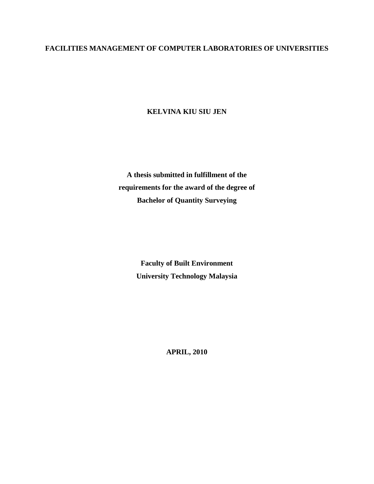## **FACILITIES MANAGEMENT OF COMPUTER LABORATORIES OF UNIVERSITIES**

**KELVINA KIU SIU JEN**

**A thesis submitted in fulfillment of the requirements for the award of the degree of Bachelor of Quantity Surveying**

> **Faculty of Built Environment University Technology Malaysia**

> > **APRIL, 2010**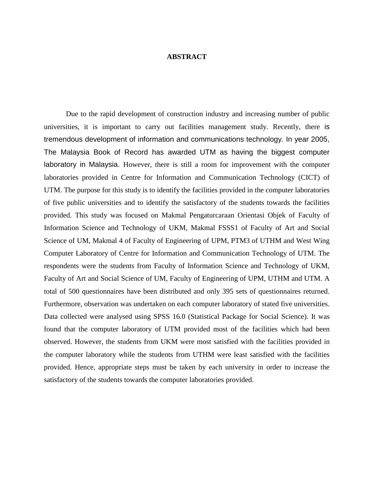## **ABSTRACT**

Due to the rapid development of construction industry and increasing number of public universities, it is important to carry out facilities management study. Recently, there is tremendous development of information and communications technology. In year 2005, The Malaysia Book of Record has awarded UTM as having the biggest computer laboratory in Malaysia. However, there is still a room for improvement with the computer laboratories provided in Centre for Information and Communication Technology (CICT) of UTM. The purpose for this study is to identify the facilities provided in the computer laboratories of five public universities and to identify the satisfactory of the students towards the facilities provided. This study was focused on Makmal Pengaturcaraan Orientasi Objek of Faculty of Information Science and Technology of UKM, Makmal FSSS1 of Faculty of Art and Social Science of UM, Makmal 4 of Faculty of Engineering of UPM, PTM3 of UTHM and West Wing Computer Laboratory of Centre for Information and Communication Technology of UTM. The respondents were the students from Faculty of Information Science and Technology of UKM, Faculty of Art and Social Science of UM, Faculty of Engineering of UPM, UTHM and UTM. A total of 500 questionnaires have been distributed and only 395 sets of questionnaires returned. Furthermore, observation was undertaken on each computer laboratory of stated five universities. Data collected were analysed using SPSS 16.0 (Statistical Package for Social Science). It was found that the computer laboratory of UTM provided most of the facilities which had been observed. However, the students from UKM were most satisfied with the facilities provided in the computer laboratory while the students from UTHM were least satisfied with the facilities provided. Hence, appropriate steps must be taken by each university in order to increase the satisfactory of the students towards the computer laboratories provided.